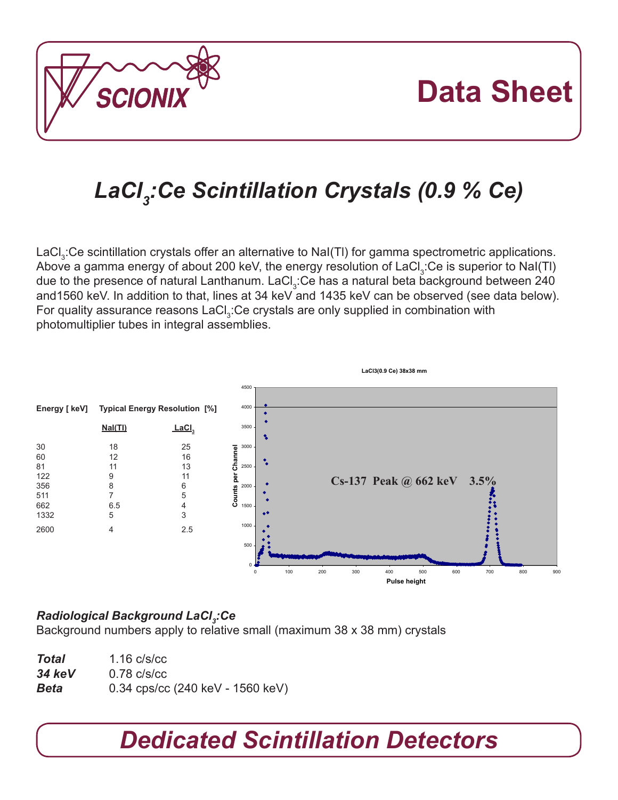

# **Data Sheet**

## *LaCl3 :Ce Scintillation Crystals (0.9 % Ce)*

LaCl $_3$ :Ce scintillation crystals offer an alternative to NaI(TI) for gamma spectrometric applications. Above a gamma energy of about 200 keV, the energy resolution of LaCl $_3$ :Ce is superior to NaI(TI) due to the presence of natural Lanthanum. LaCl<sub>3</sub>:Ce has a natural beta background between 240 and1560 keV. In addition to that, lines at 34 keV and 1435 keV can be observed (see data below). For quality assurance reasons LaCl<sub>3</sub>:Ce crystals are only supplied in combination with photomultiplier tubes in integral assemblies.



#### *Radiological Background LaCl3 :Ce*

Background numbers apply to relative small (maximum 38 x 38 mm) crystals

| <b>Total</b> | $1.16 \text{ c/s/cc}$              |
|--------------|------------------------------------|
| 34 keV       | $0.78 \text{ c/s/cc}$              |
| Beta         | $0.34$ cps/cc (240 keV - 1560 keV) |

## *Dedicated Scintillation Detectors*